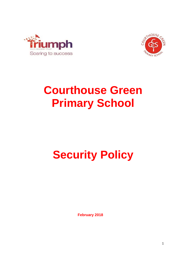



## **Courthouse Green Primary School**

# **Security Policy**

 **February 2018**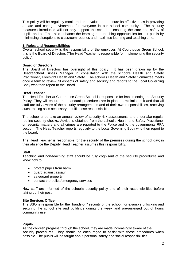This policy will be regularly monitored and evaluated to ensure its effectiveness in providing a safe and caring environment for everyone in our school community. The security measures introduced will not only support the school in ensuring the care and safety of pupils and staff but also enhance the learning and teaching opportunities for our pupils by minimising disruptions to classroom routines and maximise learning and teaching time.

#### **1. Roles and Responsibilities**

Overall school security is the responsibility of the employer. At Courthouse Green School, this is the Board of Directors (The Head Teacher is responsible for implementing the security policy).

#### **Board of Directors**

The Board of Directors has oversight of this policy. It has been drawn up by the Headteacher/Business Manager in consultation with the school's Health and Safety Practitioner, Foresight Health and Safety. The school's Health and Safety Committee meets once a term to review all aspects of safety and security and reports to the Local Governing Body who then report to the Board.

#### **Head Teacher**

The Head Teacher at Courthouse Green School is responsible for implementing the Security Policy. They will ensure that standard procedures are in place to minimise risk and that all staff are fully aware of the security arrangements and of their own responsibilities, receiving such training as is necessary to fulfil those responsibilities.

The school undertake an annual review of security risk assessments and undertake regular routine security checks. Advice is obtained from the school's Health and Safety Practitioner on security matters and all crimes are reported to the Police and to the governments RPA section. The Head Teacher reports regularly to the Local Governing Body who then report to the board.

The Head Teacher is responsible for the security of the premises during the school day; in their absence the Deputy Head Teacher assumes this responsibility.

## **Staff**

Teaching and non-teaching staff should be fully cognisant of the security procedures and know how to:

- protect pupils from harm
- guard against assault
- safeguard property
- contact the police/emergency services

New staff are informed of the school's security policy and of their responsibilities before taking up their post.

#### **Site Services Officer**

The SSO is responsible for the "hands-on" security of the school, for example unlocking and securing the school site and buildings during the week and pre-arranged out of hours community use.

#### **Pupils**

As the children progress through the school, they are made increasingly aware of the security procedures. They should be encouraged to assist with these procedures when possible. The pupils will be taught about personal safety and social responsibilities.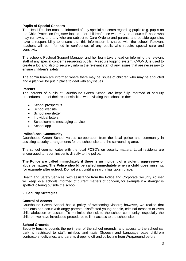#### **Pupils of Special Concern**

The Head Teacher must be informed of any special concerns regarding pupils (e.g. pupils on the Child Protection Register/ looked after children/those who may be abducted/ those who may run away and any who are subject to Care Orders) and parents and outside agencies have a responsibility to ensure that this information is shared with the school. Relevant teachers will be informed in confidence, of any pupils who require special care and sensitivity.

The school's Pastoral Support Manager and her team take a lead on informing the relevant staff of any special concerns regarding pupils. A secure logging system, CPOMS, is used to create a log and also to securely inform the relevant staff of any issues that are necessary to ensure children's safety.

The admin team are informed where there may be issues of children who may be abducted and a plan will be put in place to deal with any issues.

#### **Parents**

The parents of pupils at Courthouse Green School are kept fully informed of security procedures, and of their responsibilities when visiting the school, in the:

- School prospectus
- School website
- School newsletter
- Individual letters
- Schoolcomms messaging service
- School app

#### **Police/Local Community**

Courthouse Green School values co-operation from the local police and community in assisting security arrangements for the school site and the surrounding area.

The school communicates with the local PCSO's on security matters. Local residents are encouraged to report incidents directly to the police.

#### **The Police are called immediately if there is an incident of a violent, aggressive or abusive nature. The Police should be called immediately when a child goes missing, for example after school. Do not wait until a search has taken place.**

Health and Safety Services, with assistance from the Police and Corporate Security Adviser will keep local schools informed of current matters of concern, for example if a stranger is spotted loitering outside the school.

#### **2. Security Strategies**

#### **Control of Access**

Courthouse Green School has a policy of welcoming visitors; however, we realise that problems can occur with angry parents, disaffected young people, criminal trespass or even child abduction or assault. To minimise the risk to the school community, especially the children, we have introduced procedures to limit access to the school site.

#### **School Grounds**

Security fencing bounds the perimeter of the school grounds, and access to the school car park is restricted to staff, minibus and taxis (Speech and Language base children) contractors, deliveries, and parents dropping off and collecting from Wraparound before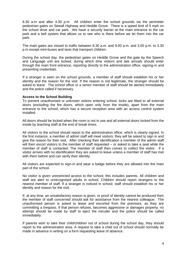8.30 a.m and after 4.30 p.m. All children enter the school grounds via the perimeter pedestrian gates on Sewall Highway and Heddle Grove. There is a speed limit of 5 mph on the school drive and car park. We have a security barrier at the main entrance to the car park and a bell system that allows us to see who is there before we let them into the car park.

The main gates are closed to traffic between 8.30 a.m. and 9.00 a.m. and 3.00 p.m. to 3.30 p.m except mini-buses and taxis that transport children.

During the school day, the pedestrian gates on Heddle Grove and the gate by the Speech and Language unit are locked, during which time visitors and late arrivals should enter through the main front entrance, reporting directly to the administration office, signing-in and presenting credentials.

If a stranger is seen on the school grounds, a member of staff should establish his or her identity and the reason for the visit. If the reason is not legitimate, the stranger should be asked to leave. The school office or a senior member of staff should be alerted immediately and the police called if necessary.

#### **Access to the School Building**

To prevent unauthorised or unknown visitors entering school, locks are fitted to all external doors (excluding the fire doors, which open only from the inside), apart from the main entrance to the school, which has a secure reception area with an access control system installed.

All doors should be locked when the room is not in use and all external doors locked from the inside by teaching staff at the end of break times.

All visitors to the school should report to the administration office, which is clearly signed. In the first instance, a member of admin staff will meet visitors; they will be asked to sign in and give the reason for their visit. After checking their identification a member of the admin staff will then escort visitors to the member of staff requested – or asked to take a seat while the member of staff is contacted. The member of staff then comes to collect the visitor. If a visitor arrives with no identification they are asked to leave unless a member of staff has met with them before and can verify their identity.

All visitors are expected to sign-in and wear a badge before they are allowed into the main part of the school.

No visitor is given unrestricted access to the school; this includes parents. All children and staff are alert to unrecognised adults in school. Children should report strangers to the nearest member of staff. If a stranger is noticed in school, staff should establish his or her identity and reason for the visit.

If, at any time, an unsatisfactory reason is given, or proof of identity cannot be produced then the member of staff concerned should ask for assistance from the nearest colleague. The unauthorised person is asked to leave and escorted from the premises, as they are committing a trespass. If that person refuses, becomes aggressive or damages property, no attempt should be made by staff to eject the intruder and the police should be called immediately.

If parents wish to take their child/children out of school during the school day, they should report to the administration area. A request to take a child out of school should normally be made in advance in writing on a form requesting leave of absence.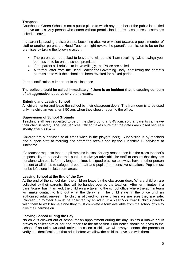## **Trespass**

Courthouse Green School is not a public place to which any member of the public is entitled to have access. Any person who enters without permission is a trespasser; trespassers are asked to leave.

If a parent is causing a disturbance, becoming abusive or violent towards a pupil, member of staff or another parent, the Head Teacher might revoke the parent's permission to be on the premises by taking the following action.

- The parent can be asked to leave and will be told 'I am revoking (withdrawing) your permission to be on the school premises
- If the parent still refuses to leave willingly, the Police are called.
- A formal letter from the Head Teacher/or Governing Body, confirming the parent's permission to visit the school has been revoked for a fixed period.

Formal notification is important in this instance.

#### **The police should be called immediately if there is an incident that is causing concern of an aggressive, abusive or violent nature.**

#### **Entering and Leaving School**

All children enter and leave the school by their classroom doors. The front door is to be used only if a child arrives after 8.50 am, when they should report to the office.

#### **Supervision of School Grounds**

Teaching staff are requested to be on the playground at 8.45 a.m. so that parents can leave their child in safety. The Site Services Officer makes sure that the gates are closed securely shortly after 9.00 a.m.

Children are supervised at all times when in the playground(s). Supervision is by teachers and support staff at morning and afternoon breaks and by the Lunchtime Supervisors at lunchtime.

If a teacher requests that a pupil remains in class for any reason then it is the class teacher's responsibility to supervise that pupil. It is always advisable for staff to ensure that they are not alone with pupils for any length of time. It is good practice to always have another person present at all times to safeguard both staff and pupils from sensitive situations. Pupils must not be left alone in classroom areas.

#### **Leaving School at the End of the Day**

At the end of the school day, the children leave by the classroom door. Where children are collected by their parents, they will be handed over by the teacher. After ten minutes, if a parent/carer hasn't arrived, the children are taken to the school office where the admin team will make contact to find out what the delay is. The child stays in the office until an authorised adult arrives. No child is allowed to leave unless we are sure they are safe. Children up to Year 4 must be collected by an adult. If a Year 5 or Year 6 child's parents wish them to walk home alone they must complete a form available from the school office to give their permission.

#### **Leaving School During the Day**

No child is allowed out of school for an appointment during the day, unless a known **adult** arrives to collect him or her and reports to the office first. Prior notice should be given to the school. If an unknown adult arrives to collect a child we will always contact the parents to verify the identification of that adult before we allow the child to leave site with them.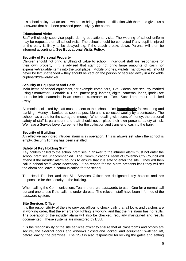It is school policy that an unknown adults brings photo identification with them and gives us a password that has been provided previously by the parent.

#### **Educational Visits**

Staff will closely supervise pupils during educational visits. The wearing of school uniform may be requested on all school visits. The school should be contacted if any pupil is injured or the party is likely to be delayed e.g. if the coach breaks down. Parents will then be informed accordingly. **See Educational Visits Policy.**

#### **Security of Personal Property**

Children should not bring anything of value to school. Individual staff are responsible for their own property. It is advised that staff do not bring large amounts of cash nor expensive/valuable items into the workplace. Mobile phones, wallets, handbags etc. should never be left unattended – they should be kept on the person or secured away in a lockable cupboard/drawer/locker.

#### **Security of Equipment and Cash**

Main items of school equipment, for example computers, TVs, videos, are security marked using Smartwater. Portable ICT equipment (e.g. laptops, digital cameras, ipads, ipods) are not to be left unattended in an insecure classroom or office. Such items must be locked away.

All monies collected by staff must be sent to the school office **immediately** for recording and banking. Money is banked as soon as possible and is collected weekly by a contractor. The school has a safe for the storage of money. When dealing with sums of money, the personal safety of staff is paramount and staff should never place their own personal safety at risk. We have a Service Level Agreement for the collection and transfer of cash to the bank.

#### **Security of Building**

An effective monitored intruder alarm is in operation. This is always set when the school is empty. Security lighting has been installed.

#### **Safety of Key Holding Staff**

Key holders called to the school premises in answer to the intruder alarm must not enter the school premises unaccompanied. The Communications Team of Coventry City Council will attend if the intruder alarm sounds to ensure that it is safe to enter the site. They will then call in school staff where necessary. If no reason for the alarm presents itself they will set the alarm and leave a communication for the school.

The Head Teacher and the Site Services Officer are designated key holders and are responsible for the security of the building.

When calling the Communications Team, there are passwords to use. One for a normal call out and one to use if the caller is under duress. The relevant staff have been informed of the password system.

#### **Site Services Officer**

It is the responsibility of the site services officer to check daily that all locks and catches are in working order, that the emergency lighting is working and that the fire alarm has no faults. The operation of the intruder alarm will also be checked, regularly maintained and results documented. These systems are monitored by ESU.

It is the responsibility of the site services officer to ensure that all classrooms and offices are secure, the external doors and windows closed and locked, and equipment switched off, before leaving the premises. The SSO is also responsible for locking the gates and setting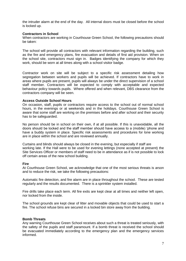the intruder alarm at the end of the day. All internal doors must be closed before the school is locked up.

#### **Contractors in School**

When contractors are working in Courthouse Green School, the following precautions should be taken:

The school will provide all contractors with relevant information regarding the building, such as the fire and emergency plans, fire evacuation and details of first aid provision. When on the school site, contractors must sign in. Badges identifying the company for which they work, should be worn at all times along with a school visitor badge.

Contractor work on site will be subject to a specific risk assessment detailing how segregation between workers and pupils will be achieved. If contractors have to work in areas where pupils are present, pupils will always be under the direct supervision of a school staff member. Contractors will be expected to comply with acceptable and expected behaviour policy towards pupils. Where offered and when relevant, DBS clearance from the contractors company will be seen.

#### **Access Outside School Hours**

On occasion, staff, pupils or contractors require access to the school out of normal school hours, in the evenings or at weekends and in the holidays. Courthouse Green School is aware that some staff are working on the premises before and after school and their security has to be safeguarded.

No person should be in school on their own, if at all possible. If this is unavoidable, all the doors should be locked and the staff member should have access to a (mobile) 'phone and have a buddy system in place. Specific risk assessments and procedures for lone working are in place within the school and are reviewed annually.

Curtains and blinds should always be closed in the evening, but especially if staff are working late. If the Hall were to be used for evening lettings (none accepted at present) the Site Services Officer or members of staff need to be in attendance as if is not possible to lock off certain areas of the new school building.

#### **Fire**

At Courthouse Green School, we acknowledge that one of the most serious threats is arson and to reduce the risk, we take the following precautions:

Automatic fire detection, and fire alarm are in place throughout the school. These are tested regularly and the results documented. There is a sprinkler system installed.

Fire drills take place each term. All fire exits are kept clear at all times and neither left open, nor locked from the inside.

The school grounds are kept clear of litter and movable objects that could be used to start a fire. The school refuse bins are secured in a locked bin store away from the building.

#### **Bomb Threats**

Any warning Courthouse Green School receives about such a threat is treated seriously, with the safety of the pupils and staff paramount. If a bomb threat is received the school should be evacuated immediately according to the emergency plan and the emergency services informed.